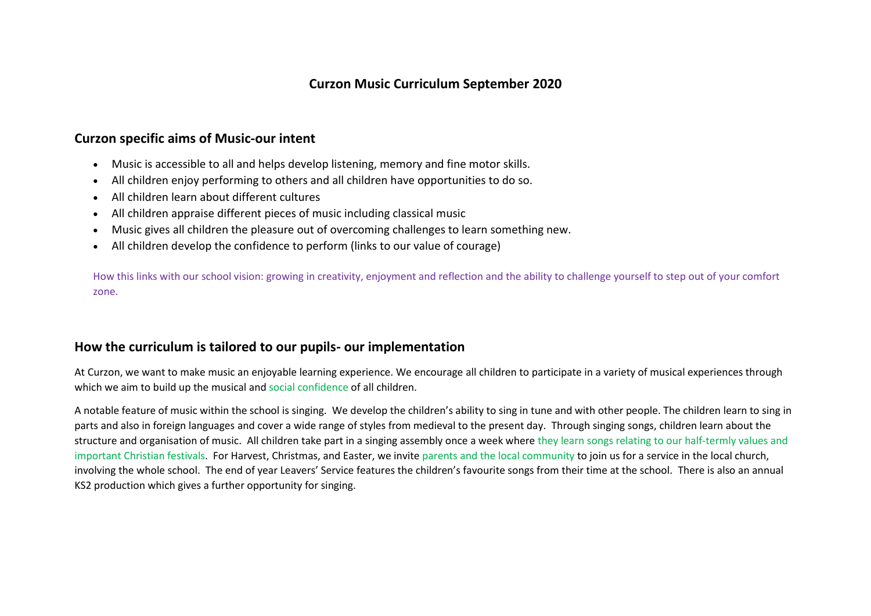# **Curzon Music Curriculum September 2020**

# **Curzon specific aims of Music-our intent**

- Music is accessible to all and helps develop listening, memory and fine motor skills.
- All children enjoy performing to others and all children have opportunities to do so.
- All children learn about different cultures
- All children appraise different pieces of music including classical music
- Music gives all children the pleasure out of overcoming challenges to learn something new.
- All children develop the confidence to perform (links to our value of courage)

How this links with our school vision: growing in creativity, enjoyment and reflection and the ability to challenge yourself to step out of your comfort zone.

# **How the curriculum is tailored to our pupils- our implementation**

At Curzon, we want to make music an enjoyable learning experience. We encourage all children to participate in a variety of musical experiences through which we aim to build up the musical and social confidence of all children.

A notable feature of music within the school is singing. We develop the children's ability to sing in tune and with other people. The children learn to sing in parts and also in foreign languages and cover a wide range of styles from medieval to the present day. Through singing songs, children learn about the structure and organisation of music. All children take part in a singing assembly once a week where they learn songs relating to our half-termly values and important Christian festivals. For Harvest, Christmas, and Easter, we invite parents and the local community to join us for a service in the local church, involving the whole school. The end of year Leavers' Service features the children's favourite songs from their time at the school. There is also an annual KS2 production which gives a further opportunity for singing.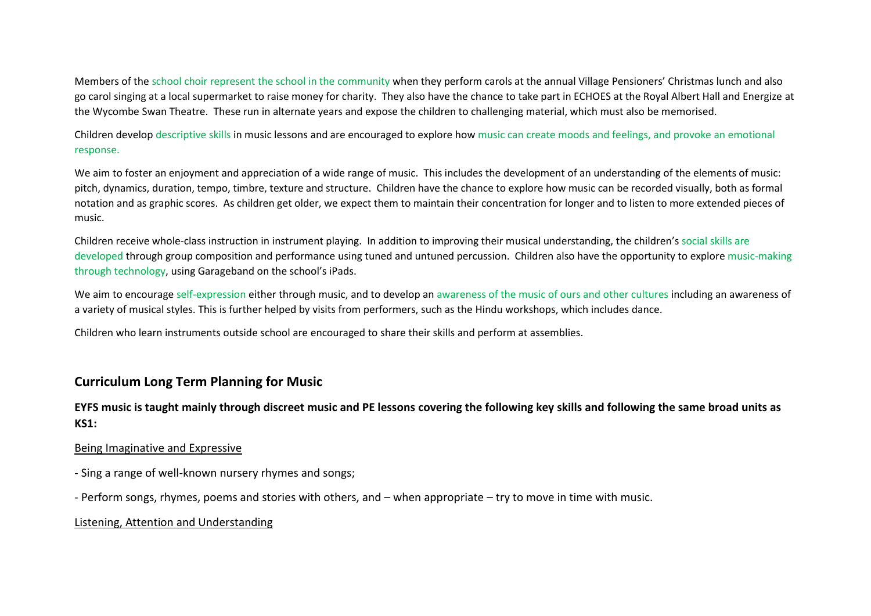Members of the school choir represent the school in the community when they perform carols at the annual Village Pensioners' Christmas lunch and also go carol singing at a local supermarket to raise money for charity. They also have the chance to take part in ECHOES at the Royal Albert Hall and Energize at the Wycombe Swan Theatre. These run in alternate years and expose the children to challenging material, which must also be memorised.

Children develop descriptive skills in music lessons and are encouraged to explore how music can create moods and feelings, and provoke an emotional response.

We aim to foster an enjoyment and appreciation of a wide range of music. This includes the development of an understanding of the elements of music: pitch, dynamics, duration, tempo, timbre, texture and structure. Children have the chance to explore how music can be recorded visually, both as formal notation and as graphic scores. As children get older, we expect them to maintain their concentration for longer and to listen to more extended pieces of music.

Children receive whole-class instruction in instrument playing. In addition to improving their musical understanding, the children's social skills are developed through group composition and performance using tuned and untuned percussion. Children also have the opportunity to explore music-making through technology, using Garageband on the school's iPads.

We aim to encourage self-expression either through music, and to develop an awareness of the music of ours and other cultures including an awareness of a variety of musical styles. This is further helped by visits from performers, such as the Hindu workshops, which includes dance.

Children who learn instruments outside school are encouraged to share their skills and perform at assemblies.

## **Curriculum Long Term Planning for Music**

## **EYFS music is taught mainly through discreet music and PE lessons covering the following key skills and following the same broad units as KS1:**

### Being Imaginative and Expressive

- Sing a range of well-known nursery rhymes and songs;
- Perform songs, rhymes, poems and stories with others, and when appropriate try to move in time with music.

### Listening, Attention and Understanding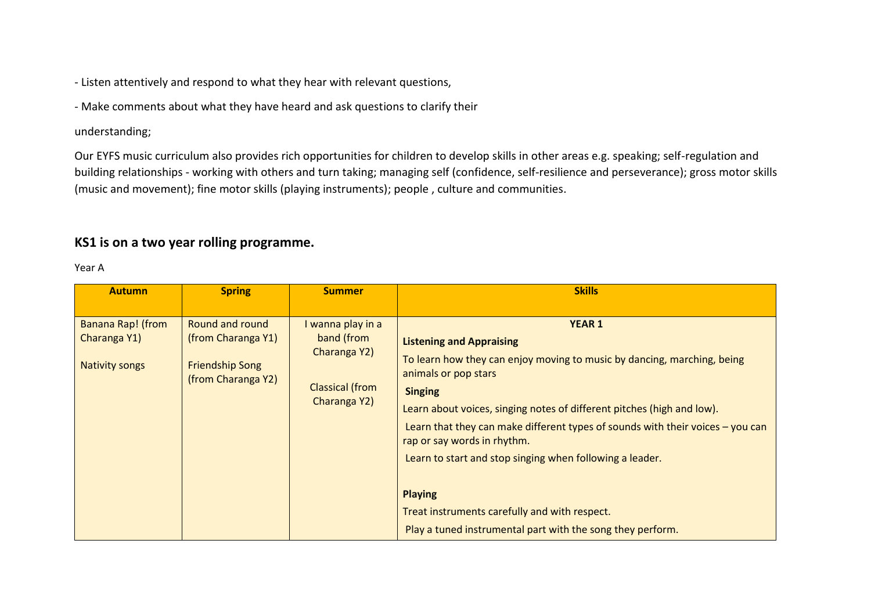- Listen attentively and respond to what they hear with relevant questions,

- Make comments about what they have heard and ask questions to clarify their

### understanding;

Our EYFS music curriculum also provides rich opportunities for children to develop skills in other areas e.g. speaking; self-regulation and building relationships - working with others and turn taking; managing self (confidence, self-resilience and perseverance); gross motor skills (music and movement); fine motor skills (playing instruments); people , culture and communities.

# **KS1 is on a two year rolling programme.**

#### Year A

| <b>Autumn</b>                                                     | <b>Spring</b>                                                                         | <b>Summer</b>                                                                             | <b>Skills</b>                                                                                                                                                                                                                                                                                                                                                                                                                                                                                                                                                   |
|-------------------------------------------------------------------|---------------------------------------------------------------------------------------|-------------------------------------------------------------------------------------------|-----------------------------------------------------------------------------------------------------------------------------------------------------------------------------------------------------------------------------------------------------------------------------------------------------------------------------------------------------------------------------------------------------------------------------------------------------------------------------------------------------------------------------------------------------------------|
| <b>Banana Rap! (from</b><br>Charanga Y1)<br><b>Nativity songs</b> | Round and round<br>(from Charanga Y1)<br><b>Friendship Song</b><br>(from Charanga Y2) | I wanna play in a<br>band (from<br>Charanga Y2)<br><b>Classical (from</b><br>Charanga Y2) | <b>YEAR 1</b><br><b>Listening and Appraising</b><br>To learn how they can enjoy moving to music by dancing, marching, being<br>animals or pop stars<br><b>Singing</b><br>Learn about voices, singing notes of different pitches (high and low).<br>Learn that they can make different types of sounds with their voices $-$ you can<br>rap or say words in rhythm.<br>Learn to start and stop singing when following a leader.<br><b>Playing</b><br>Treat instruments carefully and with respect.<br>Play a tuned instrumental part with the song they perform. |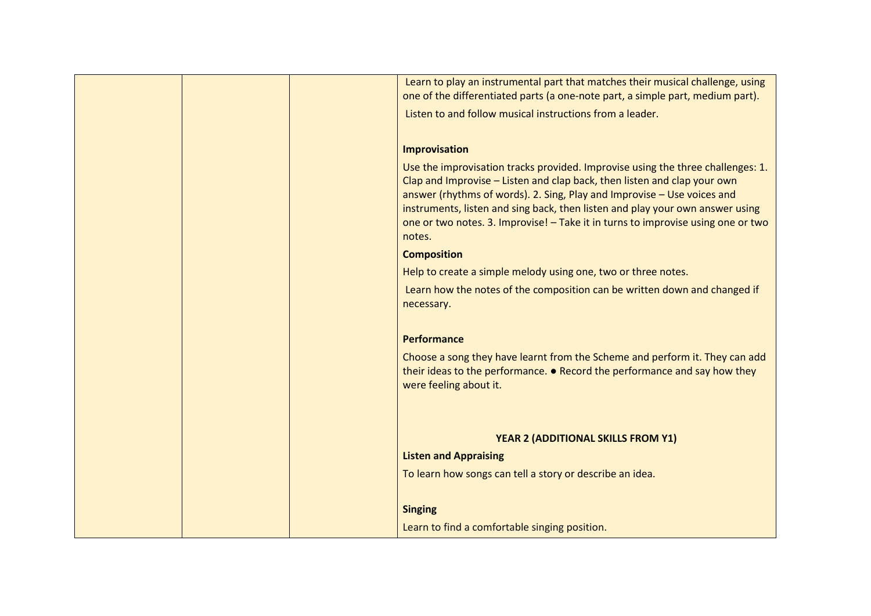| Learn to play an instrumental part that matches their musical challenge, using<br>one of the differentiated parts (a one-note part, a simple part, medium part).                                                                                                                                                                                                                                                      |
|-----------------------------------------------------------------------------------------------------------------------------------------------------------------------------------------------------------------------------------------------------------------------------------------------------------------------------------------------------------------------------------------------------------------------|
| Listen to and follow musical instructions from a leader.                                                                                                                                                                                                                                                                                                                                                              |
|                                                                                                                                                                                                                                                                                                                                                                                                                       |
| Improvisation                                                                                                                                                                                                                                                                                                                                                                                                         |
| Use the improvisation tracks provided. Improvise using the three challenges: 1.<br>Clap and Improvise - Listen and clap back, then listen and clap your own<br>answer (rhythms of words). 2. Sing, Play and Improvise - Use voices and<br>instruments, listen and sing back, then listen and play your own answer using<br>one or two notes. 3. Improvise! - Take it in turns to improvise using one or two<br>notes. |
| <b>Composition</b>                                                                                                                                                                                                                                                                                                                                                                                                    |
| Help to create a simple melody using one, two or three notes.                                                                                                                                                                                                                                                                                                                                                         |
| Learn how the notes of the composition can be written down and changed if<br>necessary.                                                                                                                                                                                                                                                                                                                               |
| Performance                                                                                                                                                                                                                                                                                                                                                                                                           |
| Choose a song they have learnt from the Scheme and perform it. They can add<br>their ideas to the performance. • Record the performance and say how they<br>were feeling about it.                                                                                                                                                                                                                                    |
|                                                                                                                                                                                                                                                                                                                                                                                                                       |
| YEAR 2 (ADDITIONAL SKILLS FROM Y1)                                                                                                                                                                                                                                                                                                                                                                                    |
| <b>Listen and Appraising</b>                                                                                                                                                                                                                                                                                                                                                                                          |
| To learn how songs can tell a story or describe an idea.                                                                                                                                                                                                                                                                                                                                                              |
| <b>Singing</b>                                                                                                                                                                                                                                                                                                                                                                                                        |
| Learn to find a comfortable singing position.                                                                                                                                                                                                                                                                                                                                                                         |
|                                                                                                                                                                                                                                                                                                                                                                                                                       |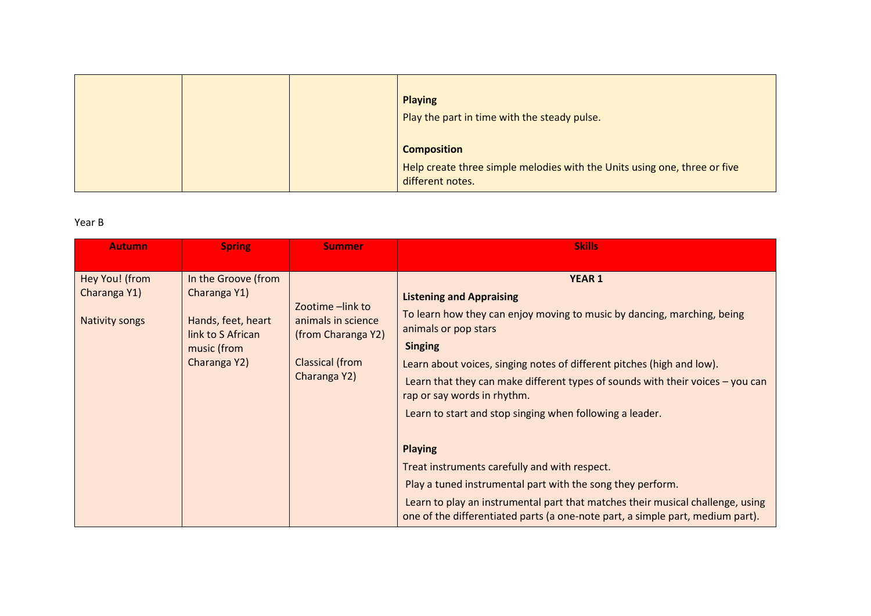|  | <b>Playing</b><br>Play the part in time with the steady pulse.                                                      |
|--|---------------------------------------------------------------------------------------------------------------------|
|  | <b>Composition</b><br>Help create three simple melodies with the Units using one, three or five<br>different notes. |

### Year B

| <b>Autumn</b>         | <b>Spring</b>       | <b>Summer</b>                          | <b>Skills</b>                                                                                                                                                    |
|-----------------------|---------------------|----------------------------------------|------------------------------------------------------------------------------------------------------------------------------------------------------------------|
|                       |                     |                                        |                                                                                                                                                                  |
| Hey You! (from        | In the Groove (from |                                        | <b>YEAR 1</b>                                                                                                                                                    |
| Charanga Y1)          | Charanga Y1)        |                                        | <b>Listening and Appraising</b>                                                                                                                                  |
| <b>Nativity songs</b> | Hands, feet, heart  | Zootime -link to<br>animals in science | To learn how they can enjoy moving to music by dancing, marching, being                                                                                          |
|                       | link to S African   | (from Charanga Y2)                     | animals or pop stars                                                                                                                                             |
|                       | music (from         |                                        | <b>Singing</b>                                                                                                                                                   |
|                       | Charanga Y2)        | Classical (from<br>Charanga Y2)        | Learn about voices, singing notes of different pitches (high and low).                                                                                           |
|                       |                     |                                        | Learn that they can make different types of sounds with their voices - you can                                                                                   |
|                       |                     |                                        | rap or say words in rhythm.                                                                                                                                      |
|                       |                     |                                        | Learn to start and stop singing when following a leader.                                                                                                         |
|                       |                     |                                        |                                                                                                                                                                  |
|                       |                     |                                        | <b>Playing</b>                                                                                                                                                   |
|                       |                     |                                        | Treat instruments carefully and with respect.                                                                                                                    |
|                       |                     |                                        | Play a tuned instrumental part with the song they perform.                                                                                                       |
|                       |                     |                                        | Learn to play an instrumental part that matches their musical challenge, using<br>one of the differentiated parts (a one-note part, a simple part, medium part). |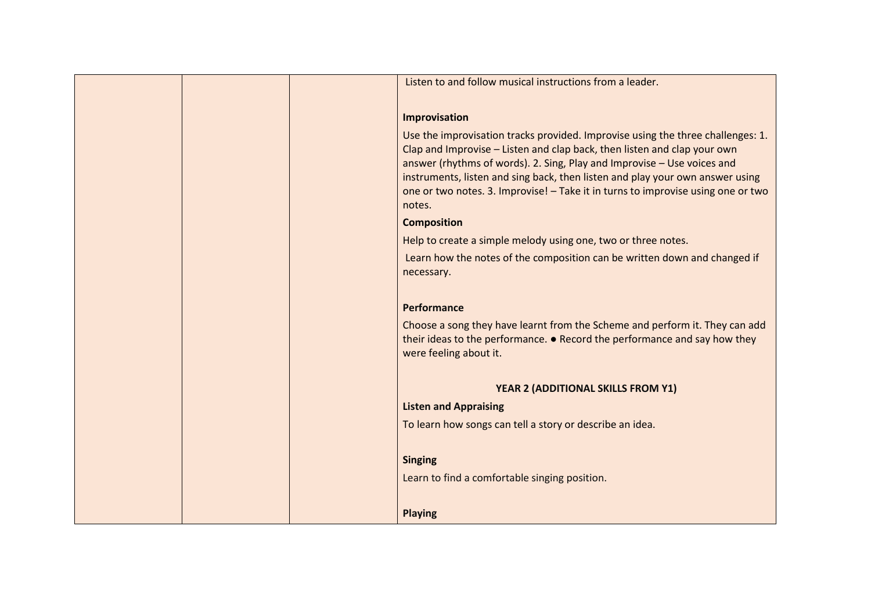|  | Listen to and follow musical instructions from a leader.                                                                                                                                                                                                                                                                                                                                                              |
|--|-----------------------------------------------------------------------------------------------------------------------------------------------------------------------------------------------------------------------------------------------------------------------------------------------------------------------------------------------------------------------------------------------------------------------|
|  |                                                                                                                                                                                                                                                                                                                                                                                                                       |
|  | Improvisation                                                                                                                                                                                                                                                                                                                                                                                                         |
|  | Use the improvisation tracks provided. Improvise using the three challenges: 1.<br>Clap and Improvise - Listen and clap back, then listen and clap your own<br>answer (rhythms of words). 2. Sing, Play and Improvise - Use voices and<br>instruments, listen and sing back, then listen and play your own answer using<br>one or two notes. 3. Improvise! - Take it in turns to improvise using one or two<br>notes. |
|  | <b>Composition</b>                                                                                                                                                                                                                                                                                                                                                                                                    |
|  | Help to create a simple melody using one, two or three notes.                                                                                                                                                                                                                                                                                                                                                         |
|  | Learn how the notes of the composition can be written down and changed if<br>necessary.                                                                                                                                                                                                                                                                                                                               |
|  | Performance                                                                                                                                                                                                                                                                                                                                                                                                           |
|  | Choose a song they have learnt from the Scheme and perform it. They can add<br>their ideas to the performance. • Record the performance and say how they<br>were feeling about it.                                                                                                                                                                                                                                    |
|  | YEAR 2 (ADDITIONAL SKILLS FROM Y1)                                                                                                                                                                                                                                                                                                                                                                                    |
|  | <b>Listen and Appraising</b>                                                                                                                                                                                                                                                                                                                                                                                          |
|  | To learn how songs can tell a story or describe an idea.                                                                                                                                                                                                                                                                                                                                                              |
|  | <b>Singing</b>                                                                                                                                                                                                                                                                                                                                                                                                        |
|  | Learn to find a comfortable singing position.                                                                                                                                                                                                                                                                                                                                                                         |
|  | <b>Playing</b>                                                                                                                                                                                                                                                                                                                                                                                                        |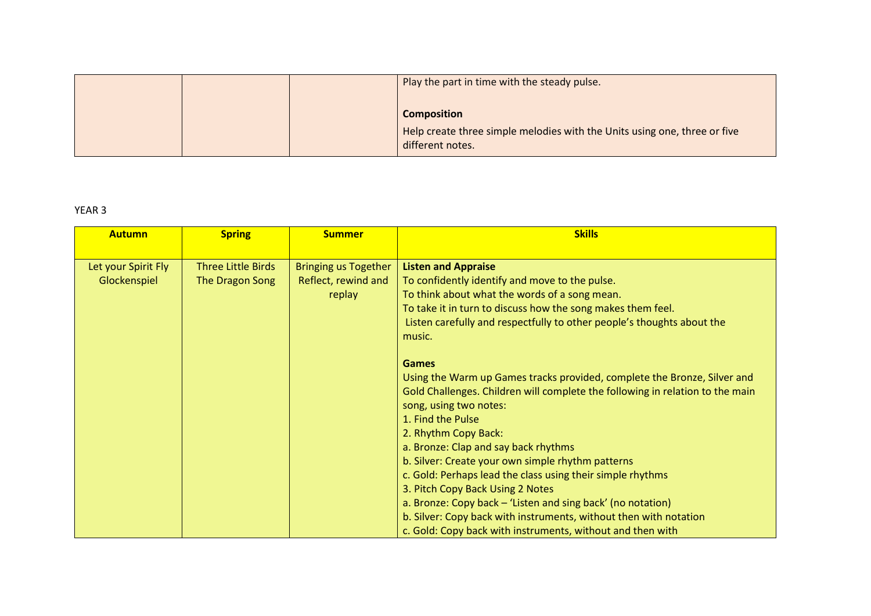|  | Play the part in time with the steady pulse.                                                    |
|--|-------------------------------------------------------------------------------------------------|
|  |                                                                                                 |
|  | <b>Composition</b><br>Help create three simple melodies with the Units using one, three or five |
|  | different notes.                                                                                |

## YEAR 3

| <b>Autumn</b>       | <b>Spring</b>             | <b>Summer</b>               | <b>Skills</b>                                                                 |
|---------------------|---------------------------|-----------------------------|-------------------------------------------------------------------------------|
|                     |                           |                             |                                                                               |
| Let your Spirit Fly | <b>Three Little Birds</b> | <b>Bringing us Together</b> | <b>Listen and Appraise</b>                                                    |
| Glockenspiel        | The Dragon Song           | Reflect, rewind and         | To confidently identify and move to the pulse.                                |
|                     |                           | replay                      | To think about what the words of a song mean.                                 |
|                     |                           |                             | To take it in turn to discuss how the song makes them feel.                   |
|                     |                           |                             | Listen carefully and respectfully to other people's thoughts about the        |
|                     |                           |                             | music.                                                                        |
|                     |                           |                             |                                                                               |
|                     |                           |                             | <b>Games</b>                                                                  |
|                     |                           |                             | Using the Warm up Games tracks provided, complete the Bronze, Silver and      |
|                     |                           |                             | Gold Challenges. Children will complete the following in relation to the main |
|                     |                           |                             | song, using two notes:                                                        |
|                     |                           |                             | 1. Find the Pulse                                                             |
|                     |                           |                             | 2. Rhythm Copy Back:                                                          |
|                     |                           |                             | a. Bronze: Clap and say back rhythms                                          |
|                     |                           |                             | b. Silver: Create your own simple rhythm patterns                             |
|                     |                           |                             | c. Gold: Perhaps lead the class using their simple rhythms                    |
|                     |                           |                             | 3. Pitch Copy Back Using 2 Notes                                              |
|                     |                           |                             | a. Bronze: Copy back – 'Listen and sing back' (no notation)                   |
|                     |                           |                             | b. Silver: Copy back with instruments, without then with notation             |
|                     |                           |                             | c. Gold: Copy back with instruments, without and then with                    |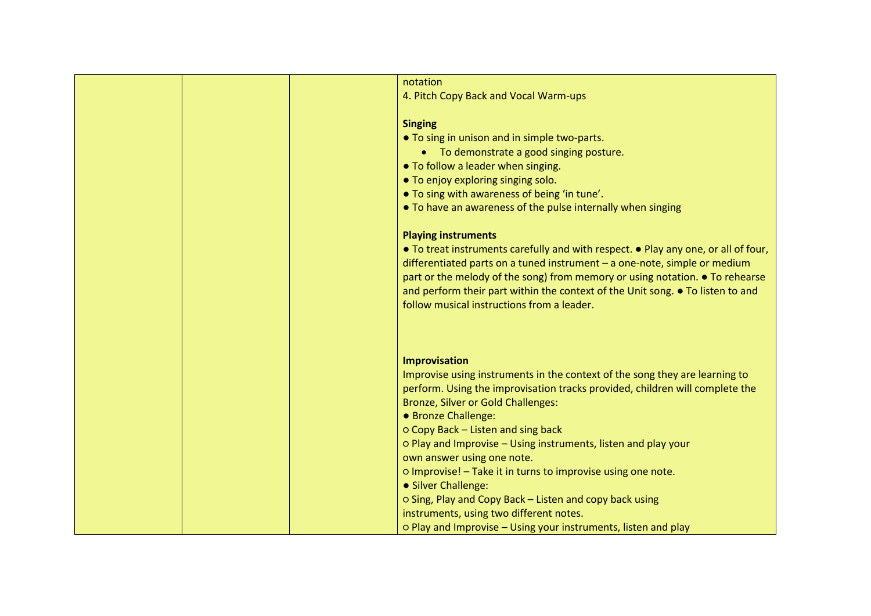| notation                                                                           |
|------------------------------------------------------------------------------------|
| 4. Pitch Copy Back and Vocal Warm-ups                                              |
|                                                                                    |
| <b>Singing</b>                                                                     |
| • To sing in unison and in simple two-parts.                                       |
| • To demonstrate a good singing posture.                                           |
| • To follow a leader when singing.                                                 |
| • To enjoy exploring singing solo.                                                 |
| • To sing with awareness of being 'in tune'.                                       |
| • To have an awareness of the pulse internally when singing                        |
|                                                                                    |
| <b>Playing instruments</b>                                                         |
| • To treat instruments carefully and with respect. • Play any one, or all of four, |
| differentiated parts on a tuned instrument $-$ a one-note, simple or medium        |
| part or the melody of the song) from memory or using notation. • To rehearse       |
| and perform their part within the context of the Unit song. • To listen to and     |
| follow musical instructions from a leader.                                         |
|                                                                                    |
|                                                                                    |
|                                                                                    |
| <b>Improvisation</b>                                                               |
| Improvise using instruments in the context of the song they are learning to        |
| perform. Using the improvisation tracks provided, children will complete the       |
| Bronze, Silver or Gold Challenges:                                                 |
| • Bronze Challenge:                                                                |
| O Copy Back - Listen and sing back                                                 |
| o Play and Improvise - Using instruments, listen and play your                     |
| own answer using one note.                                                         |
| o Improvise! - Take it in turns to improvise using one note.                       |
| • Silver Challenge:                                                                |
| o Sing, Play and Copy Back - Listen and copy back using                            |
| instruments, using two different notes.                                            |
| o Play and Improvise - Using your instruments, listen and play                     |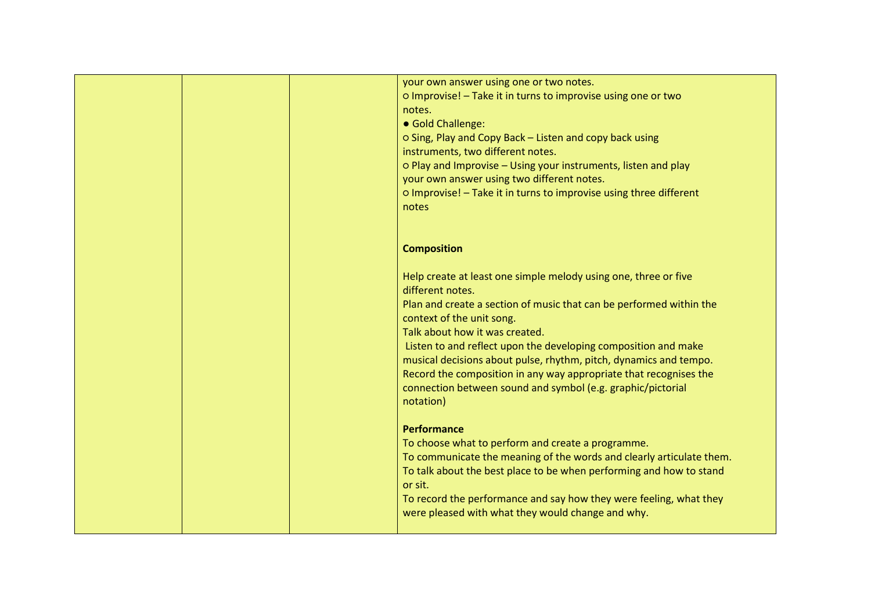|  | your own answer using one or two notes.                              |
|--|----------------------------------------------------------------------|
|  | o Improvise! - Take it in turns to improvise using one or two        |
|  | notes.                                                               |
|  | • Gold Challenge:                                                    |
|  | O Sing, Play and Copy Back - Listen and copy back using              |
|  | instruments, two different notes.                                    |
|  | o Play and Improvise – Using your instruments, listen and play       |
|  | your own answer using two different notes.                           |
|  | o Improvise! - Take it in turns to improvise using three different   |
|  | notes                                                                |
|  |                                                                      |
|  | <b>Composition</b>                                                   |
|  |                                                                      |
|  | Help create at least one simple melody using one, three or five      |
|  | different notes.                                                     |
|  | Plan and create a section of music that can be performed within the  |
|  | context of the unit song.                                            |
|  | Talk about how it was created.                                       |
|  | Listen to and reflect upon the developing composition and make       |
|  | musical decisions about pulse, rhythm, pitch, dynamics and tempo.    |
|  | Record the composition in any way appropriate that recognises the    |
|  | connection between sound and symbol (e.g. graphic/pictorial          |
|  | notation)                                                            |
|  |                                                                      |
|  | <b>Performance</b>                                                   |
|  | To choose what to perform and create a programme.                    |
|  | To communicate the meaning of the words and clearly articulate them. |
|  | To talk about the best place to be when performing and how to stand  |
|  | or sit.                                                              |
|  | To record the performance and say how they were feeling, what they   |
|  | were pleased with what they would change and why.                    |
|  |                                                                      |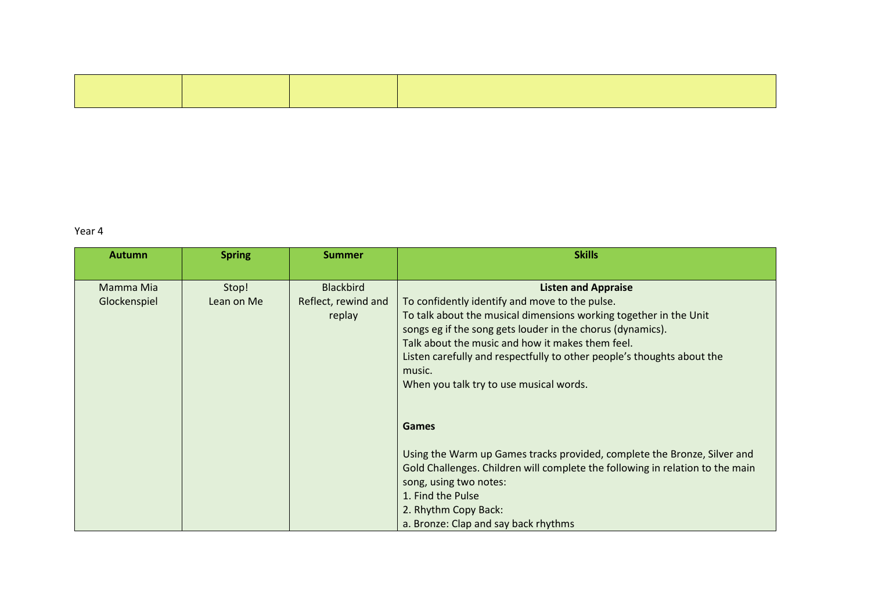#### Year 4

| <b>Autumn</b>             | <b>Spring</b>       | <b>Summer</b>                                     | <b>Skills</b>                                                                                                                                                                                                                                                                                                                                                                                      |
|---------------------------|---------------------|---------------------------------------------------|----------------------------------------------------------------------------------------------------------------------------------------------------------------------------------------------------------------------------------------------------------------------------------------------------------------------------------------------------------------------------------------------------|
| Mamma Mia<br>Glockenspiel | Stop!<br>Lean on Me | <b>Blackbird</b><br>Reflect, rewind and<br>replay | <b>Listen and Appraise</b><br>To confidently identify and move to the pulse.<br>To talk about the musical dimensions working together in the Unit<br>songs eg if the song gets louder in the chorus (dynamics).<br>Talk about the music and how it makes them feel.<br>Listen carefully and respectfully to other people's thoughts about the<br>music.<br>When you talk try to use musical words. |
|                           |                     |                                                   | <b>Games</b><br>Using the Warm up Games tracks provided, complete the Bronze, Silver and<br>Gold Challenges. Children will complete the following in relation to the main<br>song, using two notes:<br>1. Find the Pulse<br>2. Rhythm Copy Back:<br>a. Bronze: Clap and say back rhythms                                                                                                           |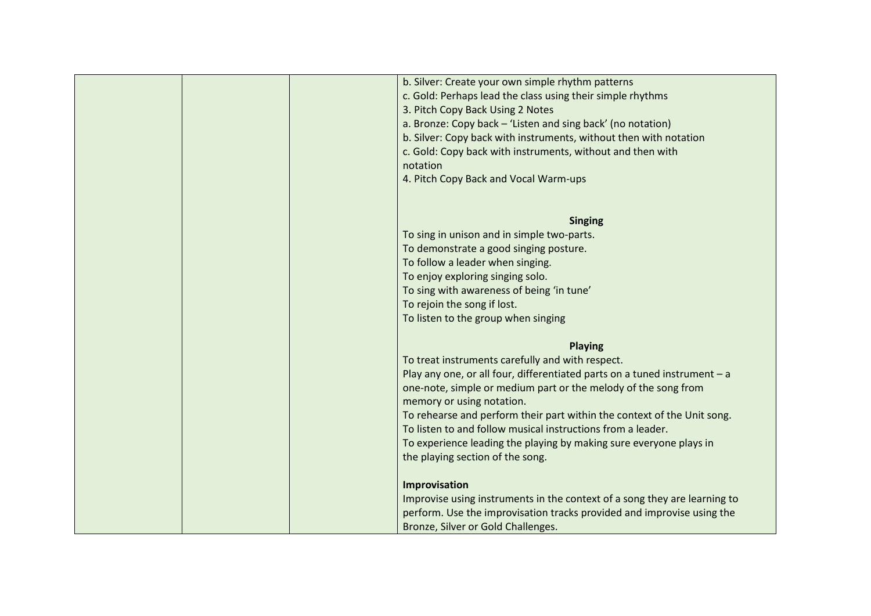| b. Silver: Create your own simple rhythm patterns                           |
|-----------------------------------------------------------------------------|
| c. Gold: Perhaps lead the class using their simple rhythms                  |
| 3. Pitch Copy Back Using 2 Notes                                            |
| a. Bronze: Copy back - 'Listen and sing back' (no notation)                 |
| b. Silver: Copy back with instruments, without then with notation           |
| c. Gold: Copy back with instruments, without and then with                  |
| notation                                                                    |
| 4. Pitch Copy Back and Vocal Warm-ups                                       |
|                                                                             |
|                                                                             |
| <b>Singing</b>                                                              |
| To sing in unison and in simple two-parts.                                  |
| To demonstrate a good singing posture.                                      |
| To follow a leader when singing.                                            |
| To enjoy exploring singing solo.                                            |
| To sing with awareness of being 'in tune'                                   |
| To rejoin the song if lost.                                                 |
| To listen to the group when singing                                         |
|                                                                             |
| <b>Playing</b>                                                              |
| To treat instruments carefully and with respect.                            |
| Play any one, or all four, differentiated parts on a tuned instrument $- a$ |
| one-note, simple or medium part or the melody of the song from              |
| memory or using notation.                                                   |
| To rehearse and perform their part within the context of the Unit song.     |
| To listen to and follow musical instructions from a leader.                 |
| To experience leading the playing by making sure everyone plays in          |
| the playing section of the song.                                            |
| Improvisation                                                               |
| Improvise using instruments in the context of a song they are learning to   |
| perform. Use the improvisation tracks provided and improvise using the      |
| Bronze, Silver or Gold Challenges.                                          |
|                                                                             |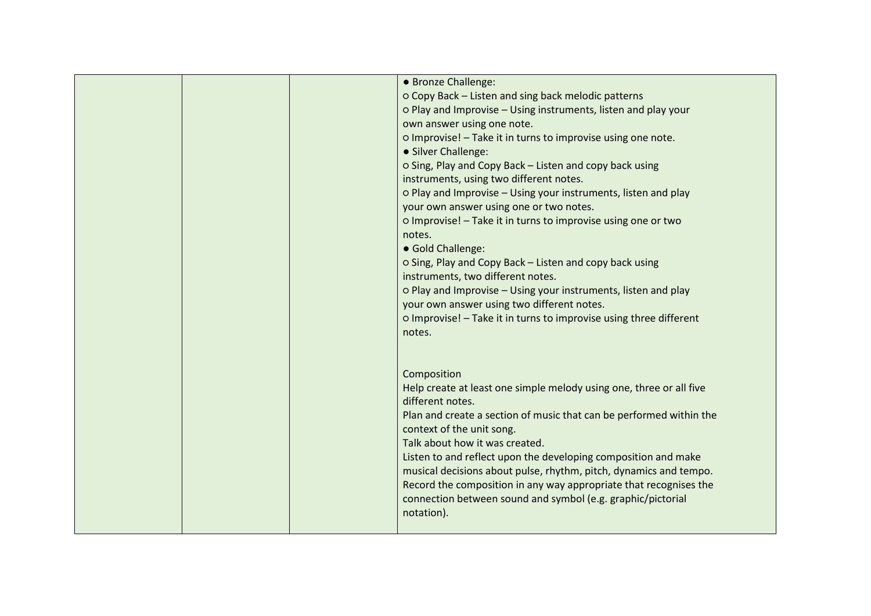| • Bronze Challenge:                                                 |
|---------------------------------------------------------------------|
| O Copy Back - Listen and sing back melodic patterns                 |
| o Play and Improvise - Using instruments, listen and play your      |
| own answer using one note.                                          |
| o Improvise! - Take it in turns to improvise using one note.        |
| • Silver Challenge:                                                 |
| o Sing, Play and Copy Back - Listen and copy back using             |
| instruments, using two different notes.                             |
| o Play and Improvise - Using your instruments, listen and play      |
| your own answer using one or two notes.                             |
| o Improvise! - Take it in turns to improvise using one or two       |
| notes.                                                              |
| • Gold Challenge:                                                   |
| o Sing, Play and Copy Back - Listen and copy back using             |
| instruments, two different notes.                                   |
| o Play and Improvise - Using your instruments, listen and play      |
| your own answer using two different notes.                          |
|                                                                     |
| o Improvise! - Take it in turns to improvise using three different  |
| notes.                                                              |
|                                                                     |
|                                                                     |
| Composition                                                         |
| Help create at least one simple melody using one, three or all five |
| different notes.                                                    |
| Plan and create a section of music that can be performed within the |
| context of the unit song.                                           |
| Talk about how it was created.                                      |
| Listen to and reflect upon the developing composition and make      |
| musical decisions about pulse, rhythm, pitch, dynamics and tempo.   |
| Record the composition in any way appropriate that recognises the   |
| connection between sound and symbol (e.g. graphic/pictorial         |
| notation).                                                          |
|                                                                     |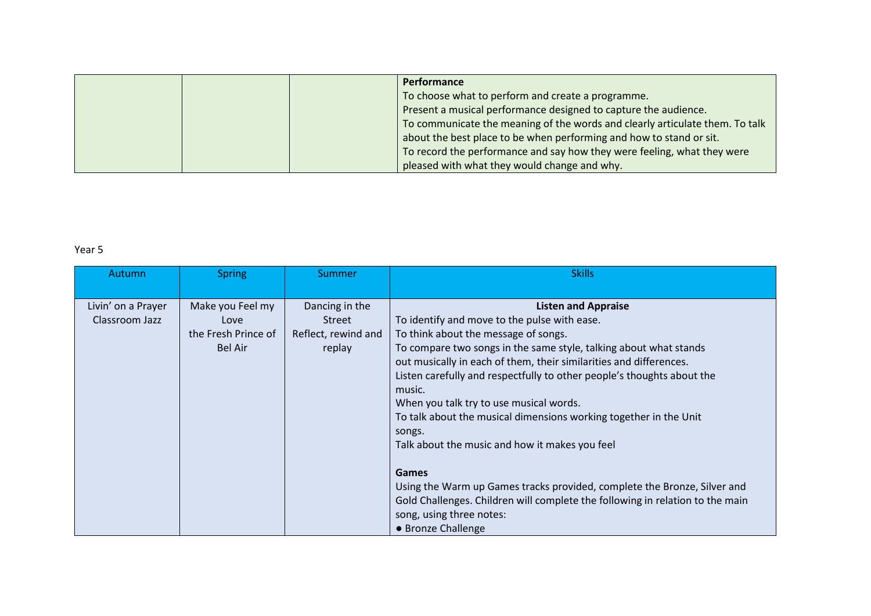|  | <b>Performance</b>                                                           |
|--|------------------------------------------------------------------------------|
|  | To choose what to perform and create a programme.                            |
|  | Present a musical performance designed to capture the audience.              |
|  | To communicate the meaning of the words and clearly articulate them. To talk |
|  | about the best place to be when performing and how to stand or sit.          |
|  | To record the performance and say how they were feeling, what they were      |
|  | pleased with what they would change and why.                                 |

### Year 5

| Autumn             | <b>Spring</b>       | Summer              | <b>Skills</b>                                                                 |
|--------------------|---------------------|---------------------|-------------------------------------------------------------------------------|
|                    |                     |                     |                                                                               |
| Livin' on a Prayer | Make you Feel my    | Dancing in the      | <b>Listen and Appraise</b>                                                    |
| Classroom Jazz     | Love                | <b>Street</b>       | To identify and move to the pulse with ease.                                  |
|                    | the Fresh Prince of | Reflect, rewind and | To think about the message of songs.                                          |
|                    | <b>Bel Air</b>      | replay              | To compare two songs in the same style, talking about what stands             |
|                    |                     |                     | out musically in each of them, their similarities and differences.            |
|                    |                     |                     | Listen carefully and respectfully to other people's thoughts about the        |
|                    |                     |                     | music.                                                                        |
|                    |                     |                     | When you talk try to use musical words.                                       |
|                    |                     |                     | To talk about the musical dimensions working together in the Unit             |
|                    |                     |                     | songs.                                                                        |
|                    |                     |                     | Talk about the music and how it makes you feel                                |
|                    |                     |                     |                                                                               |
|                    |                     |                     | <b>Games</b>                                                                  |
|                    |                     |                     | Using the Warm up Games tracks provided, complete the Bronze, Silver and      |
|                    |                     |                     | Gold Challenges. Children will complete the following in relation to the main |
|                    |                     |                     | song, using three notes:                                                      |
|                    |                     |                     | • Bronze Challenge                                                            |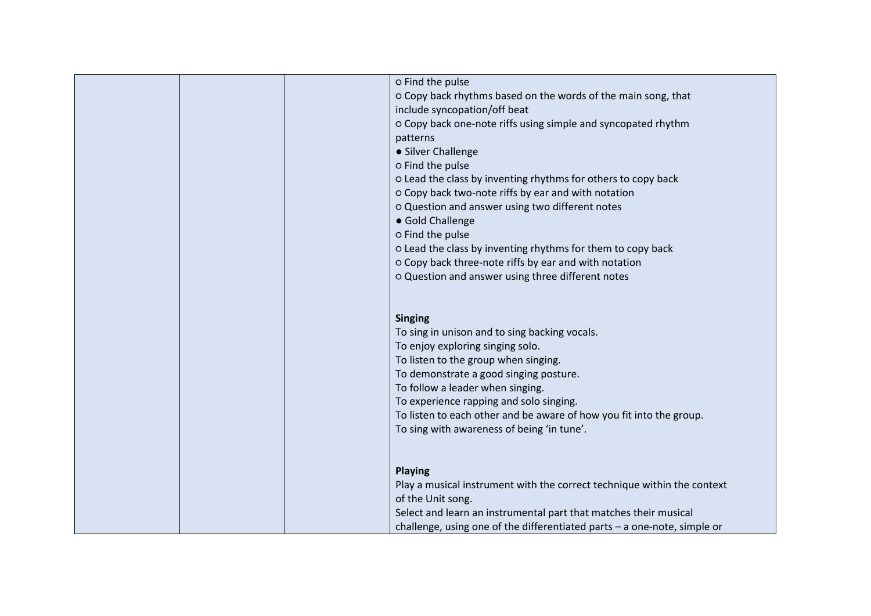| o Find the pulse                                                           |
|----------------------------------------------------------------------------|
| o Copy back rhythms based on the words of the main song, that              |
| include syncopation/off beat                                               |
| O Copy back one-note riffs using simple and syncopated rhythm              |
| patterns                                                                   |
| • Silver Challenge                                                         |
| o Find the pulse                                                           |
| o Lead the class by inventing rhythms for others to copy back              |
| o Copy back two-note riffs by ear and with notation                        |
| o Question and answer using two different notes                            |
| • Gold Challenge                                                           |
| o Find the pulse                                                           |
| o Lead the class by inventing rhythms for them to copy back                |
| O Copy back three-note riffs by ear and with notation                      |
| o Question and answer using three different notes                          |
|                                                                            |
|                                                                            |
| <b>Singing</b>                                                             |
| To sing in unison and to sing backing vocals.                              |
| To enjoy exploring singing solo.                                           |
| To listen to the group when singing.                                       |
| To demonstrate a good singing posture.                                     |
| To follow a leader when singing.                                           |
| To experience rapping and solo singing.                                    |
| To listen to each other and be aware of how you fit into the group.        |
| To sing with awareness of being 'in tune'.                                 |
|                                                                            |
|                                                                            |
| <b>Playing</b>                                                             |
| Play a musical instrument with the correct technique within the context    |
| of the Unit song.                                                          |
| Select and learn an instrumental part that matches their musical           |
| challenge, using one of the differentiated parts $-$ a one-note, simple or |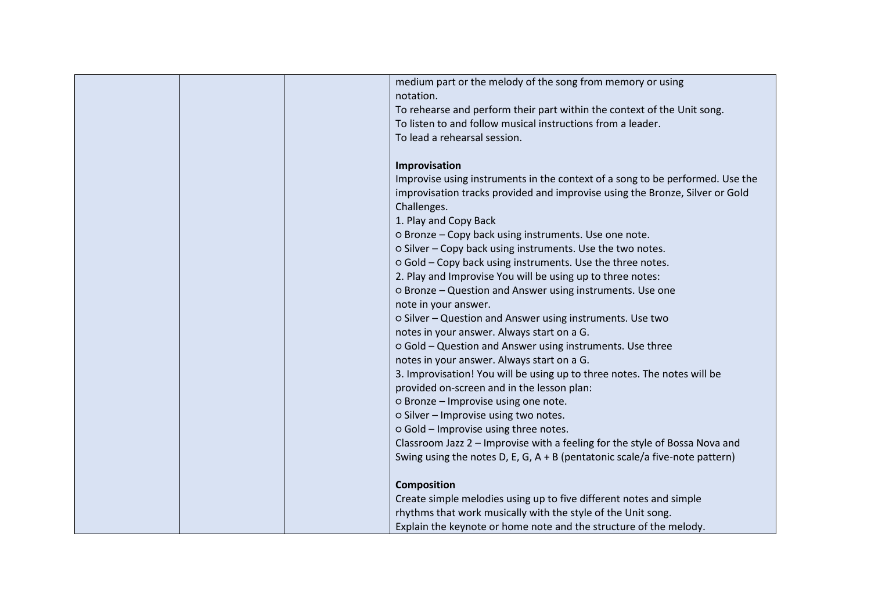| medium part or the melody of the song from memory or using<br>notation.<br>To rehearse and perform their part within the context of the Unit song.<br>To listen to and follow musical instructions from a leader.<br>To lead a rehearsal session.<br>Improvisation<br>Improvise using instruments in the context of a song to be performed. Use the<br>improvisation tracks provided and improvise using the Bronze, Silver or Gold<br>Challenges.<br>1. Play and Copy Back<br>o Bronze - Copy back using instruments. Use one note.<br>o Silver - Copy back using instruments. Use the two notes.<br>o Gold - Copy back using instruments. Use the three notes.<br>2. Play and Improvise You will be using up to three notes:<br>o Bronze - Question and Answer using instruments. Use one<br>note in your answer.<br>o Silver - Question and Answer using instruments. Use two<br>notes in your answer. Always start on a G.<br>o Gold - Question and Answer using instruments. Use three<br>notes in your answer. Always start on a G.<br>3. Improvisation! You will be using up to three notes. The notes will be<br>provided on-screen and in the lesson plan:<br>o Bronze - Improvise using one note. |  |
|-------------------------------------------------------------------------------------------------------------------------------------------------------------------------------------------------------------------------------------------------------------------------------------------------------------------------------------------------------------------------------------------------------------------------------------------------------------------------------------------------------------------------------------------------------------------------------------------------------------------------------------------------------------------------------------------------------------------------------------------------------------------------------------------------------------------------------------------------------------------------------------------------------------------------------------------------------------------------------------------------------------------------------------------------------------------------------------------------------------------------------------------------------------------------------------------------------------|--|
|                                                                                                                                                                                                                                                                                                                                                                                                                                                                                                                                                                                                                                                                                                                                                                                                                                                                                                                                                                                                                                                                                                                                                                                                             |  |
|                                                                                                                                                                                                                                                                                                                                                                                                                                                                                                                                                                                                                                                                                                                                                                                                                                                                                                                                                                                                                                                                                                                                                                                                             |  |
|                                                                                                                                                                                                                                                                                                                                                                                                                                                                                                                                                                                                                                                                                                                                                                                                                                                                                                                                                                                                                                                                                                                                                                                                             |  |
|                                                                                                                                                                                                                                                                                                                                                                                                                                                                                                                                                                                                                                                                                                                                                                                                                                                                                                                                                                                                                                                                                                                                                                                                             |  |
|                                                                                                                                                                                                                                                                                                                                                                                                                                                                                                                                                                                                                                                                                                                                                                                                                                                                                                                                                                                                                                                                                                                                                                                                             |  |
|                                                                                                                                                                                                                                                                                                                                                                                                                                                                                                                                                                                                                                                                                                                                                                                                                                                                                                                                                                                                                                                                                                                                                                                                             |  |
|                                                                                                                                                                                                                                                                                                                                                                                                                                                                                                                                                                                                                                                                                                                                                                                                                                                                                                                                                                                                                                                                                                                                                                                                             |  |
|                                                                                                                                                                                                                                                                                                                                                                                                                                                                                                                                                                                                                                                                                                                                                                                                                                                                                                                                                                                                                                                                                                                                                                                                             |  |
|                                                                                                                                                                                                                                                                                                                                                                                                                                                                                                                                                                                                                                                                                                                                                                                                                                                                                                                                                                                                                                                                                                                                                                                                             |  |
|                                                                                                                                                                                                                                                                                                                                                                                                                                                                                                                                                                                                                                                                                                                                                                                                                                                                                                                                                                                                                                                                                                                                                                                                             |  |
|                                                                                                                                                                                                                                                                                                                                                                                                                                                                                                                                                                                                                                                                                                                                                                                                                                                                                                                                                                                                                                                                                                                                                                                                             |  |
|                                                                                                                                                                                                                                                                                                                                                                                                                                                                                                                                                                                                                                                                                                                                                                                                                                                                                                                                                                                                                                                                                                                                                                                                             |  |
|                                                                                                                                                                                                                                                                                                                                                                                                                                                                                                                                                                                                                                                                                                                                                                                                                                                                                                                                                                                                                                                                                                                                                                                                             |  |
|                                                                                                                                                                                                                                                                                                                                                                                                                                                                                                                                                                                                                                                                                                                                                                                                                                                                                                                                                                                                                                                                                                                                                                                                             |  |
|                                                                                                                                                                                                                                                                                                                                                                                                                                                                                                                                                                                                                                                                                                                                                                                                                                                                                                                                                                                                                                                                                                                                                                                                             |  |
|                                                                                                                                                                                                                                                                                                                                                                                                                                                                                                                                                                                                                                                                                                                                                                                                                                                                                                                                                                                                                                                                                                                                                                                                             |  |
|                                                                                                                                                                                                                                                                                                                                                                                                                                                                                                                                                                                                                                                                                                                                                                                                                                                                                                                                                                                                                                                                                                                                                                                                             |  |
|                                                                                                                                                                                                                                                                                                                                                                                                                                                                                                                                                                                                                                                                                                                                                                                                                                                                                                                                                                                                                                                                                                                                                                                                             |  |
|                                                                                                                                                                                                                                                                                                                                                                                                                                                                                                                                                                                                                                                                                                                                                                                                                                                                                                                                                                                                                                                                                                                                                                                                             |  |
|                                                                                                                                                                                                                                                                                                                                                                                                                                                                                                                                                                                                                                                                                                                                                                                                                                                                                                                                                                                                                                                                                                                                                                                                             |  |
|                                                                                                                                                                                                                                                                                                                                                                                                                                                                                                                                                                                                                                                                                                                                                                                                                                                                                                                                                                                                                                                                                                                                                                                                             |  |
|                                                                                                                                                                                                                                                                                                                                                                                                                                                                                                                                                                                                                                                                                                                                                                                                                                                                                                                                                                                                                                                                                                                                                                                                             |  |
|                                                                                                                                                                                                                                                                                                                                                                                                                                                                                                                                                                                                                                                                                                                                                                                                                                                                                                                                                                                                                                                                                                                                                                                                             |  |
|                                                                                                                                                                                                                                                                                                                                                                                                                                                                                                                                                                                                                                                                                                                                                                                                                                                                                                                                                                                                                                                                                                                                                                                                             |  |
| o Silver - Improvise using two notes.                                                                                                                                                                                                                                                                                                                                                                                                                                                                                                                                                                                                                                                                                                                                                                                                                                                                                                                                                                                                                                                                                                                                                                       |  |
| o Gold - Improvise using three notes.                                                                                                                                                                                                                                                                                                                                                                                                                                                                                                                                                                                                                                                                                                                                                                                                                                                                                                                                                                                                                                                                                                                                                                       |  |
| Classroom Jazz 2 - Improvise with a feeling for the style of Bossa Nova and                                                                                                                                                                                                                                                                                                                                                                                                                                                                                                                                                                                                                                                                                                                                                                                                                                                                                                                                                                                                                                                                                                                                 |  |
| Swing using the notes D, E, G, A + B (pentatonic scale/a five-note pattern)                                                                                                                                                                                                                                                                                                                                                                                                                                                                                                                                                                                                                                                                                                                                                                                                                                                                                                                                                                                                                                                                                                                                 |  |
| <b>Composition</b>                                                                                                                                                                                                                                                                                                                                                                                                                                                                                                                                                                                                                                                                                                                                                                                                                                                                                                                                                                                                                                                                                                                                                                                          |  |
| Create simple melodies using up to five different notes and simple                                                                                                                                                                                                                                                                                                                                                                                                                                                                                                                                                                                                                                                                                                                                                                                                                                                                                                                                                                                                                                                                                                                                          |  |
| rhythms that work musically with the style of the Unit song.                                                                                                                                                                                                                                                                                                                                                                                                                                                                                                                                                                                                                                                                                                                                                                                                                                                                                                                                                                                                                                                                                                                                                |  |
| Explain the keynote or home note and the structure of the melody.                                                                                                                                                                                                                                                                                                                                                                                                                                                                                                                                                                                                                                                                                                                                                                                                                                                                                                                                                                                                                                                                                                                                           |  |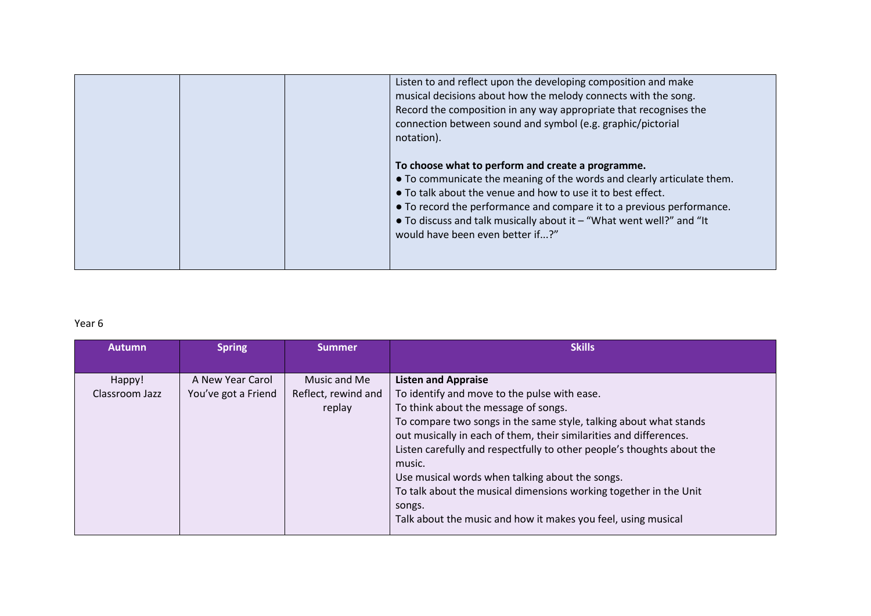|  | Listen to and reflect upon the developing composition and make<br>musical decisions about how the melody connects with the song.<br>Record the composition in any way appropriate that recognises the<br>connection between sound and symbol (e.g. graphic/pictorial<br>notation).                                                                                                        |
|--|-------------------------------------------------------------------------------------------------------------------------------------------------------------------------------------------------------------------------------------------------------------------------------------------------------------------------------------------------------------------------------------------|
|  | To choose what to perform and create a programme.<br>• To communicate the meaning of the words and clearly articulate them.<br>• To talk about the venue and how to use it to best effect.<br>• To record the performance and compare it to a previous performance.<br>$\bullet$ To discuss and talk musically about it $-$ "What went well?" and "It<br>would have been even better if?" |

## Year 6

| <b>Autumn</b>  | <b>Spring</b>       | <b>Summer</b>       | <b>Skills</b>                                                          |
|----------------|---------------------|---------------------|------------------------------------------------------------------------|
|                |                     |                     |                                                                        |
| Happy!         | A New Year Carol    | Music and Me        | <b>Listen and Appraise</b>                                             |
| Classroom Jazz | You've got a Friend | Reflect, rewind and | To identify and move to the pulse with ease.                           |
|                |                     | replay              | To think about the message of songs.                                   |
|                |                     |                     | To compare two songs in the same style, talking about what stands      |
|                |                     |                     | out musically in each of them, their similarities and differences.     |
|                |                     |                     | Listen carefully and respectfully to other people's thoughts about the |
|                |                     |                     | music.                                                                 |
|                |                     |                     | Use musical words when talking about the songs.                        |
|                |                     |                     | To talk about the musical dimensions working together in the Unit      |
|                |                     |                     | songs.                                                                 |
|                |                     |                     | Talk about the music and how it makes you feel, using musical          |
|                |                     |                     |                                                                        |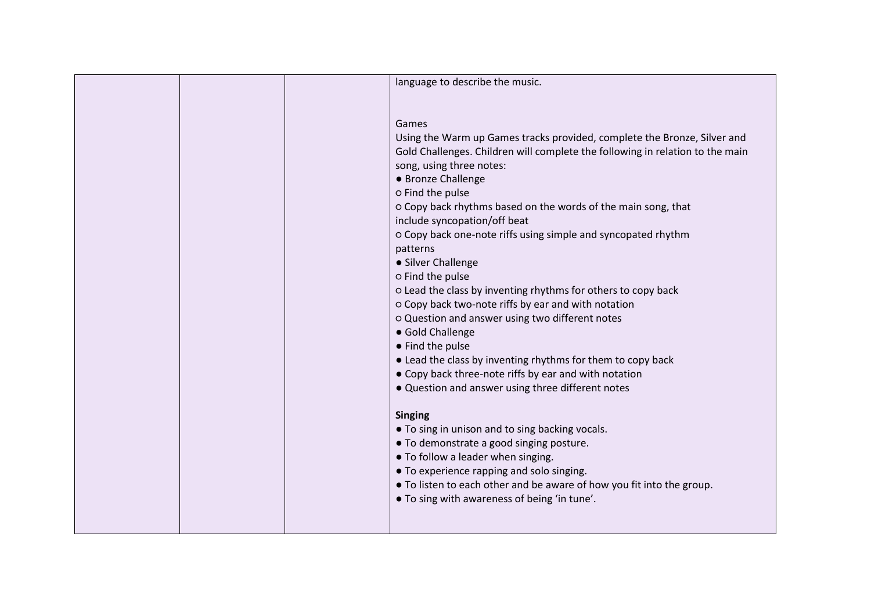| language to describe the music.                                                                                       |
|-----------------------------------------------------------------------------------------------------------------------|
|                                                                                                                       |
| Games                                                                                                                 |
| Using the Warm up Games tracks provided, complete the Bronze, Silver and                                              |
| Gold Challenges. Children will complete the following in relation to the main                                         |
| song, using three notes:                                                                                              |
| • Bronze Challenge                                                                                                    |
| o Find the pulse                                                                                                      |
| o Copy back rhythms based on the words of the main song, that                                                         |
| include syncopation/off beat                                                                                          |
| O Copy back one-note riffs using simple and syncopated rhythm                                                         |
| patterns                                                                                                              |
| • Silver Challenge                                                                                                    |
| o Find the pulse                                                                                                      |
| o Lead the class by inventing rhythms for others to copy back                                                         |
| o Copy back two-note riffs by ear and with notation                                                                   |
| o Question and answer using two different notes<br>• Gold Challenge                                                   |
| • Find the pulse                                                                                                      |
| • Lead the class by inventing rhythms for them to copy back                                                           |
| • Copy back three-note riffs by ear and with notation                                                                 |
| . Question and answer using three different notes                                                                     |
|                                                                                                                       |
| <b>Singing</b>                                                                                                        |
| • To sing in unison and to sing backing vocals.                                                                       |
| • To demonstrate a good singing posture.                                                                              |
| • To follow a leader when singing.                                                                                    |
| • To experience rapping and solo singing.                                                                             |
| • To listen to each other and be aware of how you fit into the group.<br>• To sing with awareness of being 'in tune'. |
|                                                                                                                       |
|                                                                                                                       |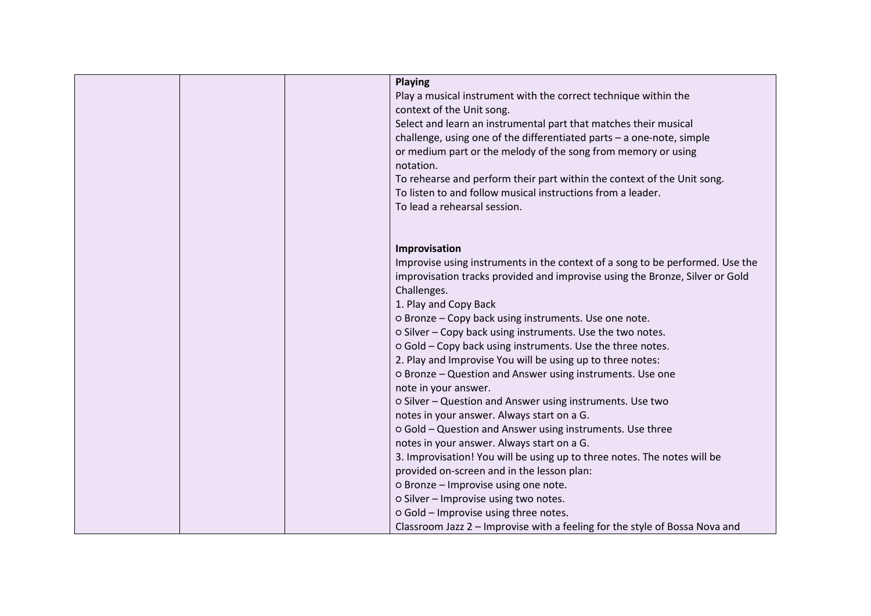| <b>Playing</b>                                                                |
|-------------------------------------------------------------------------------|
| Play a musical instrument with the correct technique within the               |
| context of the Unit song.                                                     |
| Select and learn an instrumental part that matches their musical              |
| challenge, using one of the differentiated parts - a one-note, simple         |
| or medium part or the melody of the song from memory or using                 |
| notation.                                                                     |
| To rehearse and perform their part within the context of the Unit song.       |
| To listen to and follow musical instructions from a leader.                   |
| To lead a rehearsal session.                                                  |
|                                                                               |
| Improvisation                                                                 |
|                                                                               |
| Improvise using instruments in the context of a song to be performed. Use the |
| improvisation tracks provided and improvise using the Bronze, Silver or Gold  |
| Challenges.                                                                   |
| 1. Play and Copy Back                                                         |
| o Bronze - Copy back using instruments. Use one note.                         |
| o Silver - Copy back using instruments. Use the two notes.                    |
| o Gold - Copy back using instruments. Use the three notes.                    |
| 2. Play and Improvise You will be using up to three notes:                    |
| O Bronze - Question and Answer using instruments. Use one                     |
| note in your answer.                                                          |
| o Silver - Question and Answer using instruments. Use two                     |
| notes in your answer. Always start on a G.                                    |
| o Gold - Question and Answer using instruments. Use three                     |
| notes in your answer. Always start on a G.                                    |
| 3. Improvisation! You will be using up to three notes. The notes will be      |
| provided on-screen and in the lesson plan:                                    |
| o Bronze - Improvise using one note.                                          |
| o Silver - Improvise using two notes.                                         |
| o Gold - Improvise using three notes.                                         |
| Classroom Jazz 2 - Improvise with a feeling for the style of Bossa Nova and   |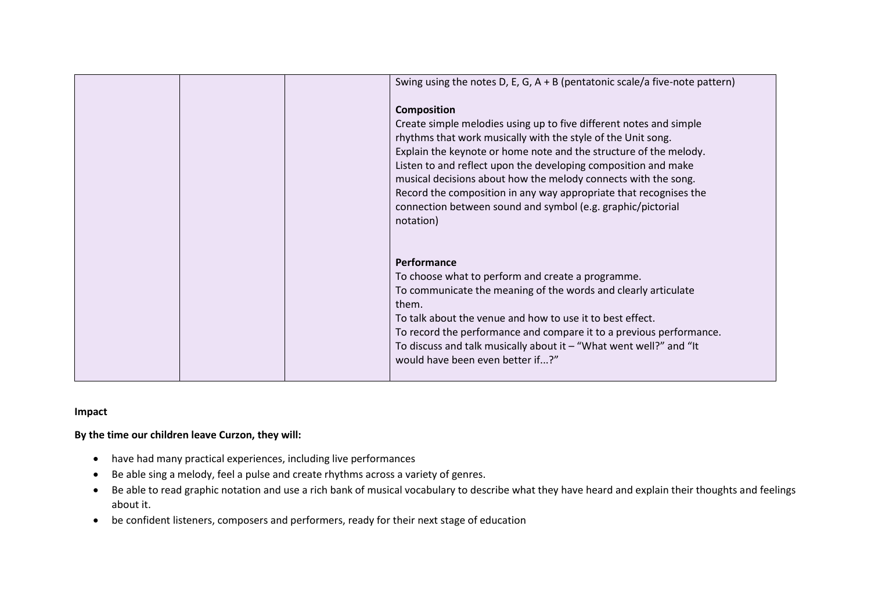| Swing using the notes D, E, G, A + B (pentatonic scale/a five-note pattern)<br><b>Composition</b><br>Create simple melodies using up to five different notes and simple<br>rhythms that work musically with the style of the Unit song.<br>Explain the keynote or home note and the structure of the melody.<br>Listen to and reflect upon the developing composition and make |
|--------------------------------------------------------------------------------------------------------------------------------------------------------------------------------------------------------------------------------------------------------------------------------------------------------------------------------------------------------------------------------|
| musical decisions about how the melody connects with the song.<br>Record the composition in any way appropriate that recognises the<br>connection between sound and symbol (e.g. graphic/pictorial<br>notation)                                                                                                                                                                |
| Performance<br>To choose what to perform and create a programme.                                                                                                                                                                                                                                                                                                               |
| To communicate the meaning of the words and clearly articulate<br>them.                                                                                                                                                                                                                                                                                                        |
| To talk about the venue and how to use it to best effect.<br>To record the performance and compare it to a previous performance.                                                                                                                                                                                                                                               |
| To discuss and talk musically about it $-$ "What went well?" and "It<br>would have been even better if?"                                                                                                                                                                                                                                                                       |

#### **Impact**

#### **By the time our children leave Curzon, they will:**

- have had many practical experiences, including live performances
- Be able sing a melody, feel a pulse and create rhythms across a variety of genres.
- Be able to read graphic notation and use a rich bank of musical vocabulary to describe what they have heard and explain their thoughts and feelings about it.
- be confident listeners, composers and performers, ready for their next stage of education